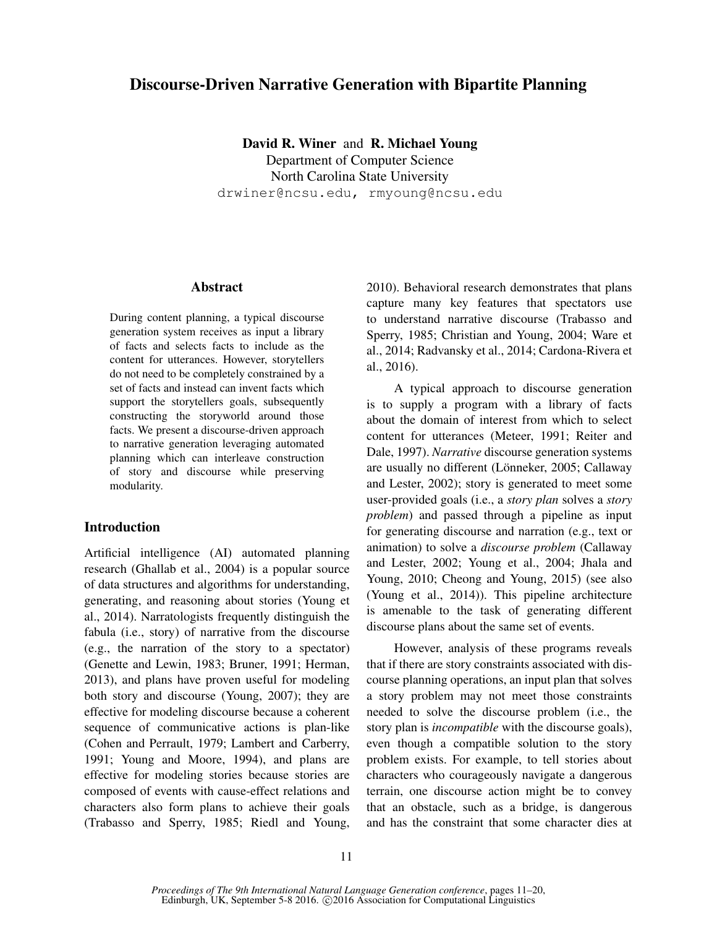# Discourse-Driven Narrative Generation with Bipartite Planning

David R. Winer and R. Michael Young Department of Computer Science North Carolina State University drwiner@ncsu.edu, rmyoung@ncsu.edu

#### Abstract

During content planning, a typical discourse generation system receives as input a library of facts and selects facts to include as the content for utterances. However, storytellers do not need to be completely constrained by a set of facts and instead can invent facts which support the storytellers goals, subsequently constructing the storyworld around those facts. We present a discourse-driven approach to narrative generation leveraging automated planning which can interleave construction of story and discourse while preserving modularity.

# Introduction

Artificial intelligence (AI) automated planning research (Ghallab et al., 2004) is a popular source of data structures and algorithms for understanding, generating, and reasoning about stories (Young et al., 2014). Narratologists frequently distinguish the fabula (i.e., story) of narrative from the discourse (e.g., the narration of the story to a spectator) (Genette and Lewin, 1983; Bruner, 1991; Herman, 2013), and plans have proven useful for modeling both story and discourse (Young, 2007); they are effective for modeling discourse because a coherent sequence of communicative actions is plan-like (Cohen and Perrault, 1979; Lambert and Carberry, 1991; Young and Moore, 1994), and plans are effective for modeling stories because stories are composed of events with cause-effect relations and characters also form plans to achieve their goals (Trabasso and Sperry, 1985; Riedl and Young,

2010). Behavioral research demonstrates that plans capture many key features that spectators use to understand narrative discourse (Trabasso and Sperry, 1985; Christian and Young, 2004; Ware et al., 2014; Radvansky et al., 2014; Cardona-Rivera et al., 2016).

A typical approach to discourse generation is to supply a program with a library of facts about the domain of interest from which to select content for utterances (Meteer, 1991; Reiter and Dale, 1997). *Narrative* discourse generation systems are usually no different (Lönneker, 2005; Callaway and Lester, 2002); story is generated to meet some user-provided goals (i.e., a *story plan* solves a *story problem*) and passed through a pipeline as input for generating discourse and narration (e.g., text or animation) to solve a *discourse problem* (Callaway and Lester, 2002; Young et al., 2004; Jhala and Young, 2010; Cheong and Young, 2015) (see also (Young et al., 2014)). This pipeline architecture is amenable to the task of generating different discourse plans about the same set of events.

However, analysis of these programs reveals that if there are story constraints associated with discourse planning operations, an input plan that solves a story problem may not meet those constraints needed to solve the discourse problem (i.e., the story plan is *incompatible* with the discourse goals), even though a compatible solution to the story problem exists. For example, to tell stories about characters who courageously navigate a dangerous terrain, one discourse action might be to convey that an obstacle, such as a bridge, is dangerous and has the constraint that some character dies at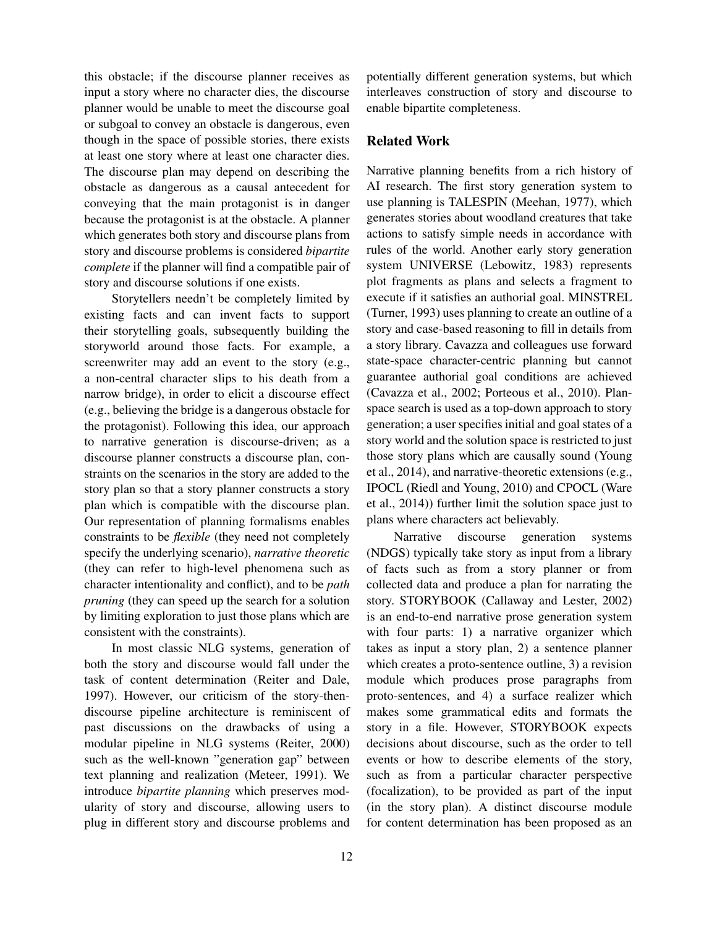this obstacle; if the discourse planner receives as input a story where no character dies, the discourse planner would be unable to meet the discourse goal or subgoal to convey an obstacle is dangerous, even though in the space of possible stories, there exists at least one story where at least one character dies. The discourse plan may depend on describing the obstacle as dangerous as a causal antecedent for conveying that the main protagonist is in danger because the protagonist is at the obstacle. A planner which generates both story and discourse plans from story and discourse problems is considered *bipartite complete* if the planner will find a compatible pair of story and discourse solutions if one exists.

Storytellers needn't be completely limited by existing facts and can invent facts to support their storytelling goals, subsequently building the storyworld around those facts. For example, a screenwriter may add an event to the story (e.g., a non-central character slips to his death from a narrow bridge), in order to elicit a discourse effect (e.g., believing the bridge is a dangerous obstacle for the protagonist). Following this idea, our approach to narrative generation is discourse-driven; as a discourse planner constructs a discourse plan, constraints on the scenarios in the story are added to the story plan so that a story planner constructs a story plan which is compatible with the discourse plan. Our representation of planning formalisms enables constraints to be *flexible* (they need not completely specify the underlying scenario), *narrative theoretic* (they can refer to high-level phenomena such as character intentionality and conflict), and to be *path pruning* (they can speed up the search for a solution by limiting exploration to just those plans which are consistent with the constraints).

In most classic NLG systems, generation of both the story and discourse would fall under the task of content determination (Reiter and Dale, 1997). However, our criticism of the story-thendiscourse pipeline architecture is reminiscent of past discussions on the drawbacks of using a modular pipeline in NLG systems (Reiter, 2000) such as the well-known "generation gap" between text planning and realization (Meteer, 1991). We introduce *bipartite planning* which preserves modularity of story and discourse, allowing users to plug in different story and discourse problems and potentially different generation systems, but which interleaves construction of story and discourse to enable bipartite completeness.

### Related Work

Narrative planning benefits from a rich history of AI research. The first story generation system to use planning is TALESPIN (Meehan, 1977), which generates stories about woodland creatures that take actions to satisfy simple needs in accordance with rules of the world. Another early story generation system UNIVERSE (Lebowitz, 1983) represents plot fragments as plans and selects a fragment to execute if it satisfies an authorial goal. MINSTREL (Turner, 1993) uses planning to create an outline of a story and case-based reasoning to fill in details from a story library. Cavazza and colleagues use forward state-space character-centric planning but cannot guarantee authorial goal conditions are achieved (Cavazza et al., 2002; Porteous et al., 2010). Planspace search is used as a top-down approach to story generation; a user specifies initial and goal states of a story world and the solution space is restricted to just those story plans which are causally sound (Young et al., 2014), and narrative-theoretic extensions (e.g., IPOCL (Riedl and Young, 2010) and CPOCL (Ware et al., 2014)) further limit the solution space just to plans where characters act believably.

Narrative discourse generation systems (NDGS) typically take story as input from a library of facts such as from a story planner or from collected data and produce a plan for narrating the story. STORYBOOK (Callaway and Lester, 2002) is an end-to-end narrative prose generation system with four parts: 1) a narrative organizer which takes as input a story plan, 2) a sentence planner which creates a proto-sentence outline, 3) a revision module which produces prose paragraphs from proto-sentences, and 4) a surface realizer which makes some grammatical edits and formats the story in a file. However, STORYBOOK expects decisions about discourse, such as the order to tell events or how to describe elements of the story, such as from a particular character perspective (focalization), to be provided as part of the input (in the story plan). A distinct discourse module for content determination has been proposed as an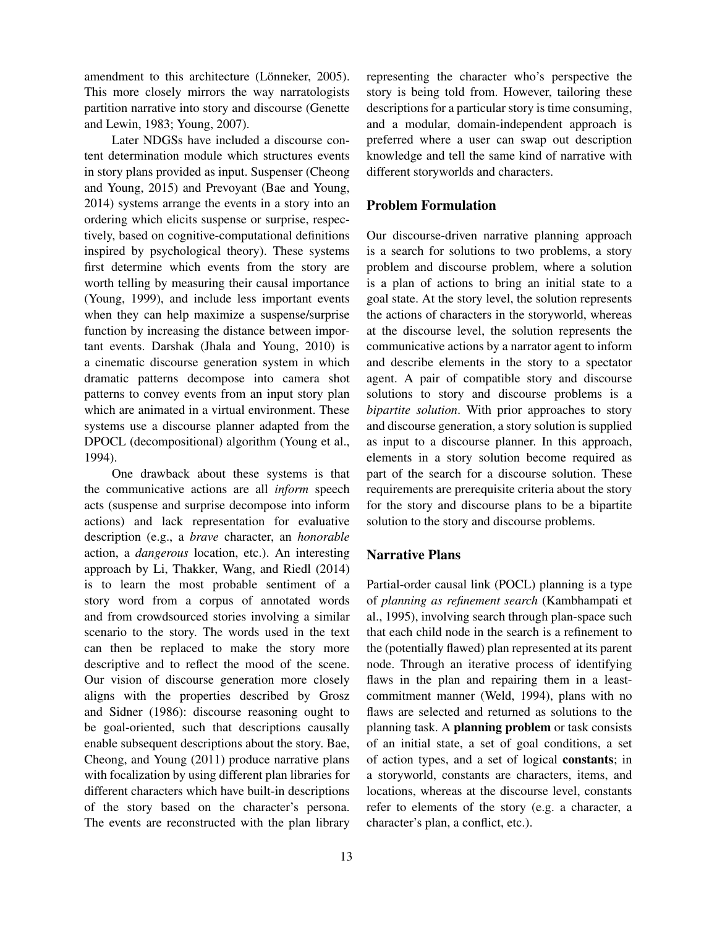amendment to this architecture (Lönneker, 2005). This more closely mirrors the way narratologists partition narrative into story and discourse (Genette and Lewin, 1983; Young, 2007).

Later NDGSs have included a discourse content determination module which structures events in story plans provided as input. Suspenser (Cheong and Young, 2015) and Prevoyant (Bae and Young, 2014) systems arrange the events in a story into an ordering which elicits suspense or surprise, respectively, based on cognitive-computational definitions inspired by psychological theory). These systems first determine which events from the story are worth telling by measuring their causal importance (Young, 1999), and include less important events when they can help maximize a suspense/surprise function by increasing the distance between important events. Darshak (Jhala and Young, 2010) is a cinematic discourse generation system in which dramatic patterns decompose into camera shot patterns to convey events from an input story plan which are animated in a virtual environment. These systems use a discourse planner adapted from the DPOCL (decompositional) algorithm (Young et al., 1994).

One drawback about these systems is that the communicative actions are all *inform* speech acts (suspense and surprise decompose into inform actions) and lack representation for evaluative description (e.g., a *brave* character, an *honorable* action, a *dangerous* location, etc.). An interesting approach by Li, Thakker, Wang, and Riedl (2014) is to learn the most probable sentiment of a story word from a corpus of annotated words and from crowdsourced stories involving a similar scenario to the story. The words used in the text can then be replaced to make the story more descriptive and to reflect the mood of the scene. Our vision of discourse generation more closely aligns with the properties described by Grosz and Sidner (1986): discourse reasoning ought to be goal-oriented, such that descriptions causally enable subsequent descriptions about the story. Bae, Cheong, and Young (2011) produce narrative plans with focalization by using different plan libraries for different characters which have built-in descriptions of the story based on the character's persona. The events are reconstructed with the plan library

representing the character who's perspective the story is being told from. However, tailoring these descriptions for a particular story is time consuming, and a modular, domain-independent approach is preferred where a user can swap out description knowledge and tell the same kind of narrative with different storyworlds and characters.

## Problem Formulation

Our discourse-driven narrative planning approach is a search for solutions to two problems, a story problem and discourse problem, where a solution is a plan of actions to bring an initial state to a goal state. At the story level, the solution represents the actions of characters in the storyworld, whereas at the discourse level, the solution represents the communicative actions by a narrator agent to inform and describe elements in the story to a spectator agent. A pair of compatible story and discourse solutions to story and discourse problems is a *bipartite solution*. With prior approaches to story and discourse generation, a story solution is supplied as input to a discourse planner. In this approach, elements in a story solution become required as part of the search for a discourse solution. These requirements are prerequisite criteria about the story for the story and discourse plans to be a bipartite solution to the story and discourse problems.

### Narrative Plans

Partial-order causal link (POCL) planning is a type of *planning as refinement search* (Kambhampati et al., 1995), involving search through plan-space such that each child node in the search is a refinement to the (potentially flawed) plan represented at its parent node. Through an iterative process of identifying flaws in the plan and repairing them in a leastcommitment manner (Weld, 1994), plans with no flaws are selected and returned as solutions to the planning task. A planning problem or task consists of an initial state, a set of goal conditions, a set of action types, and a set of logical constants; in a storyworld, constants are characters, items, and locations, whereas at the discourse level, constants refer to elements of the story (e.g. a character, a character's plan, a conflict, etc.).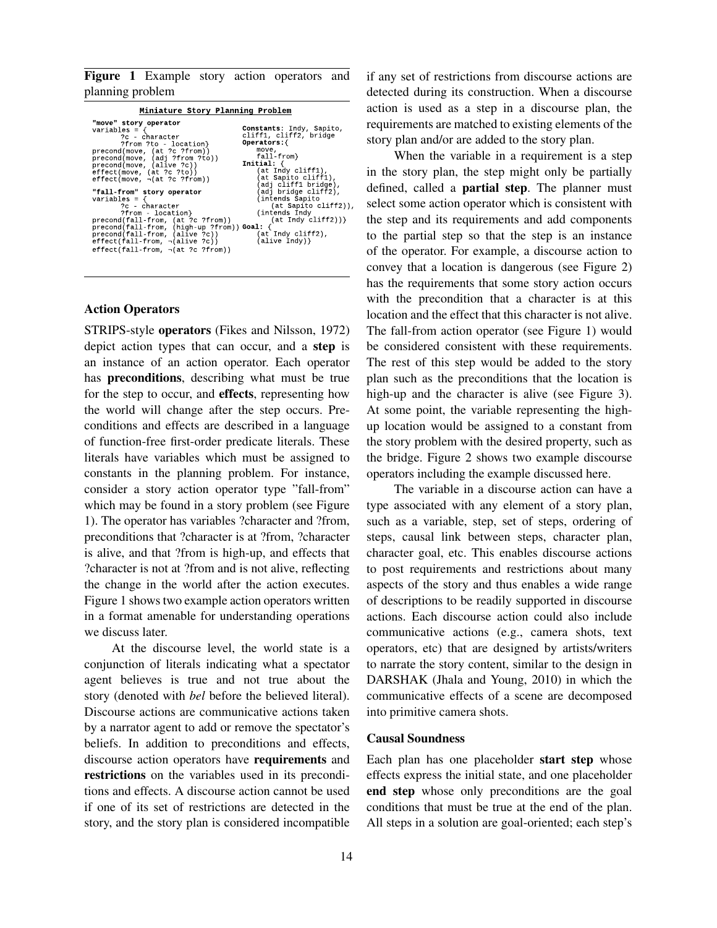Figure 1 Example story action operators and planning problem

| Miniature Story Planning Problem                                                                                                                                                                                                                                                                                                                                                                                                                                                                                                                                             |                                                                                                                                                                                                                                                                                                                                 |  |
|------------------------------------------------------------------------------------------------------------------------------------------------------------------------------------------------------------------------------------------------------------------------------------------------------------------------------------------------------------------------------------------------------------------------------------------------------------------------------------------------------------------------------------------------------------------------------|---------------------------------------------------------------------------------------------------------------------------------------------------------------------------------------------------------------------------------------------------------------------------------------------------------------------------------|--|
| "move" story operator<br>variables = $\{$<br>?c - character<br>?from ?to - location}<br>precond(move, (at ?c ?from))<br>precond(move, (adj ?from ?to))<br>precond(move, (alive ?c))<br>effect(move, (at ?c ?to))<br>$effect(move, \neg (at ?c ? from))$<br>"fall-from" story operator<br>$variables = \{$<br>?c - character<br>?from - location}<br>precond(fall-from, (at ?c ?from))<br>precond(fall-from, (high-up ?from)) Goal: {<br>precond(fall-from, (alive ?c))<br>$effect(\hat{fall}\text{-}from, \neg(\text{alive ?c}))$<br>$effect(fall-from, \neg (at ?c ?from))$ | Constants: Indy, Sapito,<br>cliff1, cliff2, bridge<br>Operators: {<br>move,<br>fall-from}<br>Initial: $\{$<br>(at Indy cliff1),<br>(at Sapito cliff1),<br>(adj cliff1 bridge),<br>(adj bridge cliff2),<br>(intends Sapito<br>(at Sapito cliff2)),<br>(intends Indy)<br>(at Indy cliff2))}<br>(at Indy cliff2),<br>(alive Índy)} |  |
|                                                                                                                                                                                                                                                                                                                                                                                                                                                                                                                                                                              |                                                                                                                                                                                                                                                                                                                                 |  |

### Action Operators

STRIPS-style operators (Fikes and Nilsson, 1972) depict action types that can occur, and a step is an instance of an action operator. Each operator has preconditions, describing what must be true for the step to occur, and effects, representing how the world will change after the step occurs. Preconditions and effects are described in a language of function-free first-order predicate literals. These literals have variables which must be assigned to constants in the planning problem. For instance, consider a story action operator type "fall-from" which may be found in a story problem (see Figure 1). The operator has variables ?character and ?from, preconditions that ?character is at ?from, ?character is alive, and that ?from is high-up, and effects that ?character is not at ?from and is not alive, reflecting the change in the world after the action executes. Figure 1 shows two example action operators written in a format amenable for understanding operations we discuss later.

At the discourse level, the world state is a conjunction of literals indicating what a spectator agent believes is true and not true about the story (denoted with *bel* before the believed literal). Discourse actions are communicative actions taken by a narrator agent to add or remove the spectator's beliefs. In addition to preconditions and effects, discourse action operators have requirements and restrictions on the variables used in its preconditions and effects. A discourse action cannot be used if one of its set of restrictions are detected in the story, and the story plan is considered incompatible if any set of restrictions from discourse actions are detected during its construction. When a discourse action is used as a step in a discourse plan, the requirements are matched to existing elements of the story plan and/or are added to the story plan.

When the variable in a requirement is a step in the story plan, the step might only be partially defined, called a partial step. The planner must select some action operator which is consistent with the step and its requirements and add components to the partial step so that the step is an instance of the operator. For example, a discourse action to convey that a location is dangerous (see Figure 2) has the requirements that some story action occurs with the precondition that a character is at this location and the effect that this character is not alive. The fall-from action operator (see Figure 1) would be considered consistent with these requirements. The rest of this step would be added to the story plan such as the preconditions that the location is high-up and the character is alive (see Figure 3). At some point, the variable representing the highup location would be assigned to a constant from the story problem with the desired property, such as the bridge. Figure 2 shows two example discourse operators including the example discussed here.

The variable in a discourse action can have a type associated with any element of a story plan, such as a variable, step, set of steps, ordering of steps, causal link between steps, character plan, character goal, etc. This enables discourse actions to post requirements and restrictions about many aspects of the story and thus enables a wide range of descriptions to be readily supported in discourse actions. Each discourse action could also include communicative actions (e.g., camera shots, text operators, etc) that are designed by artists/writers to narrate the story content, similar to the design in DARSHAK (Jhala and Young, 2010) in which the communicative effects of a scene are decomposed into primitive camera shots.

#### Causal Soundness

Each plan has one placeholder start step whose effects express the initial state, and one placeholder end step whose only preconditions are the goal conditions that must be true at the end of the plan. All steps in a solution are goal-oriented; each step's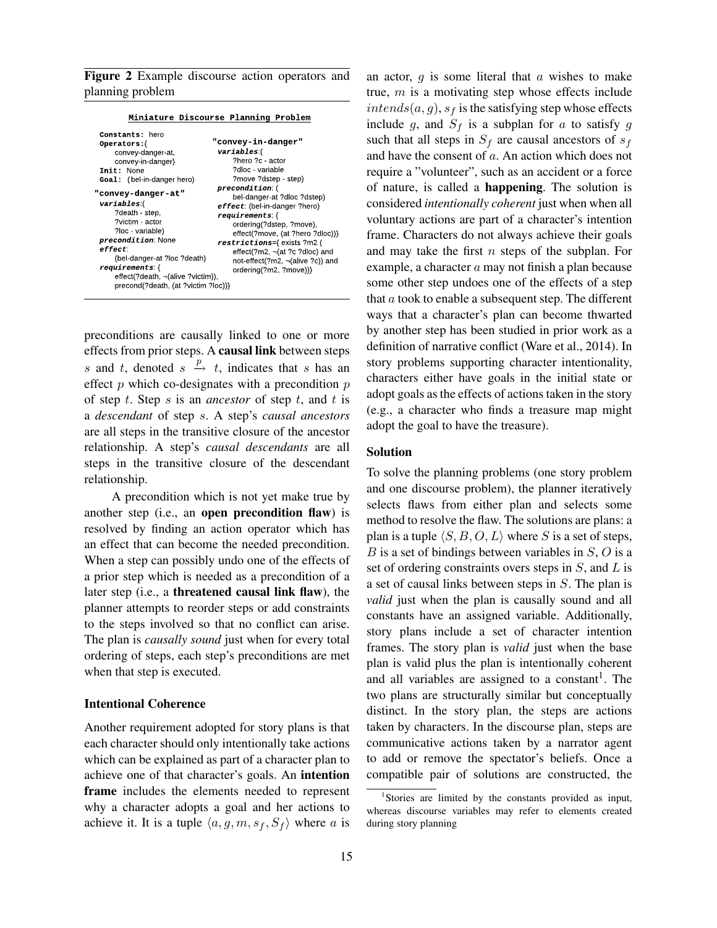Figure 2 Example discourse action operators and planning problem

| Miniature Discourse Planning Problem                                                                                                                                                                                                                                                                                                                                                           |                                                                                                                                                                                                                                                                                                                                                                                                      |
|------------------------------------------------------------------------------------------------------------------------------------------------------------------------------------------------------------------------------------------------------------------------------------------------------------------------------------------------------------------------------------------------|------------------------------------------------------------------------------------------------------------------------------------------------------------------------------------------------------------------------------------------------------------------------------------------------------------------------------------------------------------------------------------------------------|
| <b>Constants:</b> hero<br>Operators:{<br>convey-danger-at,<br>convey-in-danger}<br>Init: None<br><b>Goal:</b> (bel-in-danger hero)<br>"convey-danger-at"<br>variables:(<br>?death - step,<br>?victim - actor<br>?loc - variable)<br>precondition: None<br>effect:<br>(bel-danger-at ?loc ?death)<br>requirements:{<br>effect(?death, ¬(alive ?victim)),<br>precond(?death, (at ?victim ?loc))} | "convey-in-danger"<br>variables:(<br>?hero ?c - actor<br>?dloc - variable<br>?move ?dstep - step)<br>precondition (<br>bel-danger-at ?dloc ?dstep)<br>effect: (bel-in-danger ?hero)<br>requirements:{<br>ordering(?dstep, ?move),<br>effect(?move, (at ?hero ?dloc))}<br>restrictions={ exists ?m2 (<br>effect(?m2, ¬(at ?c ?dloc) and<br>not-effect(?m2, ¬(alive ?c)) and<br>ordering(?m2, ?move))} |

preconditions are causally linked to one or more effects from prior steps. A causal link between steps s and t, denoted  $s \stackrel{p}{\rightarrow} t$ , indicates that s has an effect  $p$  which co-designates with a precondition  $p$ of step t. Step s is an *ancestor* of step t, and t is a *descendant* of step s. A step's *causal ancestors* are all steps in the transitive closure of the ancestor relationship. A step's *causal descendants* are all steps in the transitive closure of the descendant relationship.

A precondition which is not yet make true by another step (i.e., an open precondition flaw) is resolved by finding an action operator which has an effect that can become the needed precondition. When a step can possibly undo one of the effects of a prior step which is needed as a precondition of a later step (i.e., a threatened causal link flaw), the planner attempts to reorder steps or add constraints to the steps involved so that no conflict can arise. The plan is *causally sound* just when for every total ordering of steps, each step's preconditions are met when that step is executed.

### Intentional Coherence

Another requirement adopted for story plans is that each character should only intentionally take actions which can be explained as part of a character plan to achieve one of that character's goals. An intention frame includes the elements needed to represent why a character adopts a goal and her actions to achieve it. It is a tuple  $\langle a, g, m, s_f, S_f \rangle$  where a is an actor,  $g$  is some literal that  $a$  wishes to make true,  $m$  is a motivating step whose effects include  $intends(a, g)$ ,  $s_f$  is the satisfying step whose effects include g, and  $S_f$  is a subplan for a to satisfy g such that all steps in  $S_f$  are causal ancestors of  $s_f$ and have the consent of a. An action which does not require a "volunteer", such as an accident or a force of nature, is called a happening. The solution is considered *intentionally coherent* just when when all voluntary actions are part of a character's intention frame. Characters do not always achieve their goals and may take the first  $n$  steps of the subplan. For example, a character a may not finish a plan because some other step undoes one of the effects of a step that  $a$  took to enable a subsequent step. The different ways that a character's plan can become thwarted by another step has been studied in prior work as a definition of narrative conflict (Ware et al., 2014). In story problems supporting character intentionality, characters either have goals in the initial state or adopt goals as the effects of actions taken in the story (e.g., a character who finds a treasure map might adopt the goal to have the treasure).

### Solution

To solve the planning problems (one story problem and one discourse problem), the planner iteratively selects flaws from either plan and selects some method to resolve the flaw. The solutions are plans: a plan is a tuple  $\langle S, B, O, L \rangle$  where S is a set of steps,  $B$  is a set of bindings between variables in  $S$ ,  $O$  is a set of ordering constraints overs steps in  $S$ , and  $L$  is a set of causal links between steps in S. The plan is *valid* just when the plan is causally sound and all constants have an assigned variable. Additionally, story plans include a set of character intention frames. The story plan is *valid* just when the base plan is valid plus the plan is intentionally coherent and all variables are assigned to a constant<sup>1</sup>. The two plans are structurally similar but conceptually distinct. In the story plan, the steps are actions taken by characters. In the discourse plan, steps are communicative actions taken by a narrator agent to add or remove the spectator's beliefs. Once a compatible pair of solutions are constructed, the

<sup>&</sup>lt;sup>1</sup>Stories are limited by the constants provided as input, whereas discourse variables may refer to elements created during story planning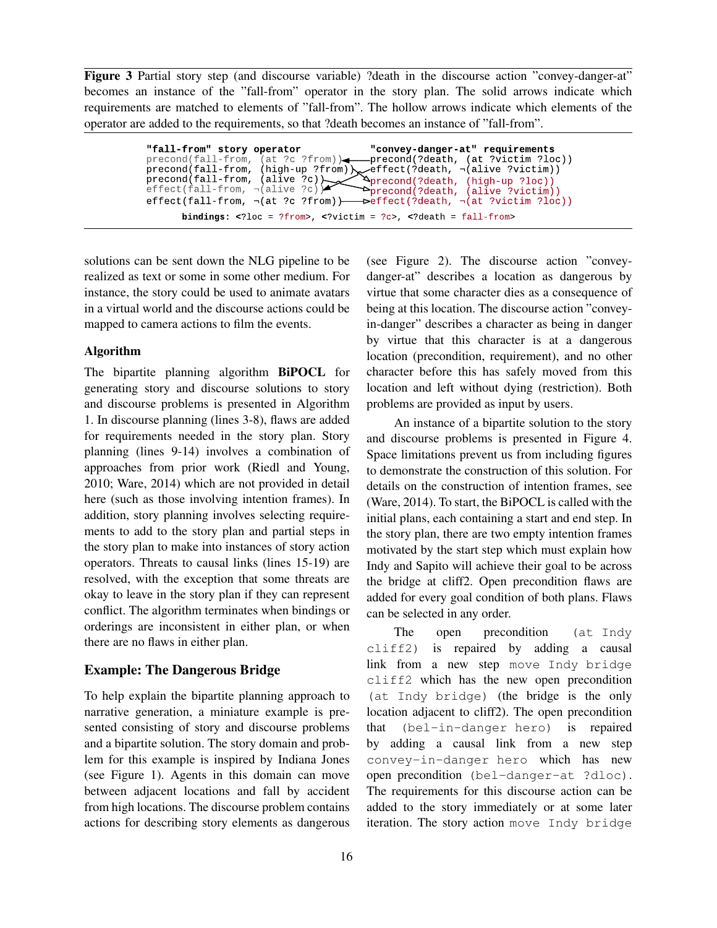Figure 3 Partial story step (and discourse variable) ?death in the discourse action "convey-danger-at" becomes an instance of the "fall-from" operator in the story plan. The solid arrows indicate which requirements are matched to elements of "fall-from". The hollow arrows indicate which elements of the operator are added to the requirements, so that ?death becomes an instance of "fall-from".

> " convey-danger-at" requirements precond(?death, (at ?victim ?loc)) effect(?death, ¬(alive ?victim)) precond(?death, (high-up ?loc)) precond(?death, (alive ?victim)) effect(?death, ¬(at ?victim ?loc)) bindings:  $\langle$ ?loc = ?from>,  $\langle$ ?victim = ?c>,  $\langle$ ?death = fall-from> " fall-from" story operator  $\text{precond}(\text{fall}\text{-}\text{from}, \text{ (at ?c ?}$  from))  $precond(fall-from,$  $\mathsf{precond}(\mathsf{fall}\text{-}\mathsf{from},\allowbreak\;(\mathsf{alive}\;?\mathsf{c})).$ effect(fall-from,  $\neg$ (alive ?c))  $effect(fall-from, \neg (at ?c ?from)$

solutions can be sent down the NLG pipeline to be realized as text or some in some other medium. For instance, the story could be used to animate avatars in a virtual world and the discourse actions could be mapped to camera actions to film the events.

### Algorithm

The bipartite planning algorithm BiPOCL for generating story and discourse solutions to story and discourse problems is presented in Algorithm 1. In discourse planning (lines 3-8), flaws are added for requirements needed in the story plan. Story planning (lines 9-14) involves a combination of approaches from prior work (Riedl and Young, 2010; Ware, 2014) which are not provided in detail here (such as those involving intention frames). In addition, story planning involves selecting requirements to add to the story plan and partial steps in the story plan to make into instances of story action operators. Threats to causal links (lines 15-19) are resolved, with the exception that some threats are okay to leave in the story plan if they can represent conflict. The algorithm terminates when bindings or orderings are inconsistent in either plan, or when there are no flaws in either plan.

### Example: The Dangerous Bridge

To help explain the bipartite planning approach to narrative generation, a miniature example is presented consisting of story and discourse problems and a bipartite solution. The story domain and problem for this example is inspired by Indiana Jones (see Figure 1). Agents in this domain can move between adjacent locations and fall by accident from high locations. The discourse problem contains actions for describing story elements as dangerous (see Figure 2). The discourse action "conveydanger-at" describes a location as dangerous by virtue that some character dies as a consequence of being at this location. The discourse action "conveyin-danger" describes a character as being in danger by virtue that this character is at a dangerous location (precondition, requirement), and no other character before this has safely moved from this location and left without dying (restriction). Both problems are provided as input by users.

An instance of a bipartite solution to the story and discourse problems is presented in Figure 4. Space limitations prevent us from including figures to demonstrate the construction of this solution. For details on the construction of intention frames, see (Ware, 2014). To start, the BiPOCL is called with the initial plans, each containing a start and end step. In the story plan, there are two empty intention frames motivated by the start step which must explain how Indy and Sapito will achieve their goal to be across the bridge at cliff2. Open precondition flaws are added for every goal condition of both plans. Flaws can be selected in any order.

The open precondition (at Indy cliff2) is repaired by adding a causal link from a new step move Indy bridge cliff2 which has the new open precondition (at Indy bridge) (the bridge is the only location adjacent to cliff2). The open precondition that (bel-in-danger hero) is repaired by adding a causal link from a new step convey-in-danger hero which has new open precondition (bel-danger-at ?dloc). The requirements for this discourse action can be added to the story immediately or at some later iteration. The story action move Indy bridge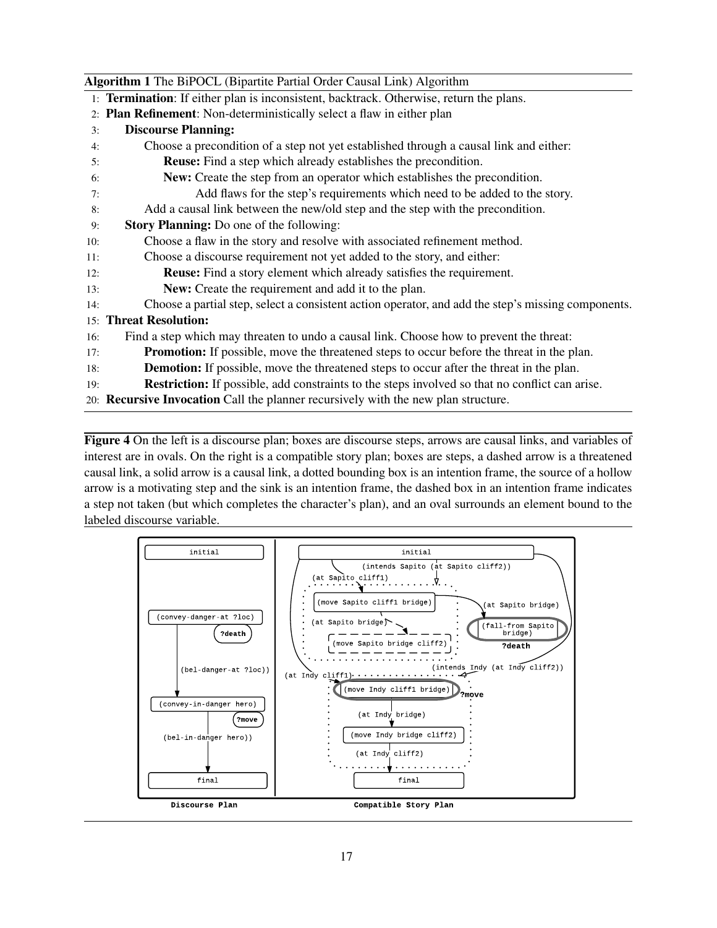## Algorithm 1 The BiPOCL (Bipartite Partial Order Causal Link) Algorithm

- 1: Termination: If either plan is inconsistent, backtrack. Otherwise, return the plans.
- 2: Plan Refinement: Non-deterministically select a flaw in either plan
- 3: Discourse Planning:
- 4: Choose a precondition of a step not yet established through a causal link and either:
- 5: Reuse: Find a step which already establishes the precondition.
- 6: New: Create the step from an operator which establishes the precondition.
- 7: Add flaws for the step's requirements which need to be added to the story.
- 8: Add a causal link between the new/old step and the step with the precondition.
- 9: Story Planning: Do one of the following:
- 10: Choose a flaw in the story and resolve with associated refinement method.
- 11: Choose a discourse requirement not yet added to the story, and either:
- 12: Reuse: Find a story element which already satisfies the requirement.
- 13: New: Create the requirement and add it to the plan.
- 14: Choose a partial step, select a consistent action operator, and add the step's missing components.

# 15: Threat Resolution:

- 16: Find a step which may threaten to undo a causal link. Choose how to prevent the threat:
- 17: Promotion: If possible, move the threatened steps to occur before the threat in the plan.
- 18: Demotion: If possible, move the threatened steps to occur after the threat in the plan.
- 19: Restriction: If possible, add constraints to the steps involved so that no conflict can arise.
- 20: Recursive Invocation Call the planner recursively with the new plan structure.

Figure 4 On the left is a discourse plan; boxes are discourse steps, arrows are causal links, and variables of interest are in ovals. On the right is a compatible story plan; boxes are steps, a dashed arrow is a threatened causal link, a solid arrow is a causal link, a dotted bounding box is an intention frame, the source of a hollow arrow is a motivating step and the sink is an intention frame, the dashed box in an intention frame indicates a step not taken (but which completes the character's plan), and an oval surrounds an element bound to the labeled discourse variable.

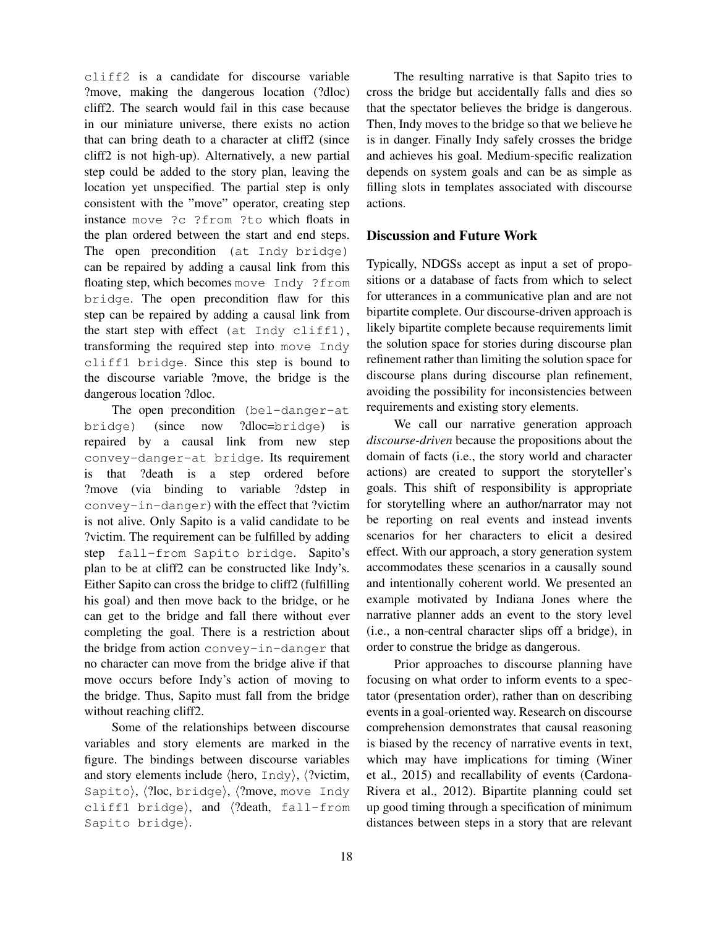cliff2 is a candidate for discourse variable ?move, making the dangerous location (?dloc) cliff2. The search would fail in this case because in our miniature universe, there exists no action that can bring death to a character at cliff2 (since cliff2 is not high-up). Alternatively, a new partial step could be added to the story plan, leaving the location yet unspecified. The partial step is only consistent with the "move" operator, creating step instance move ?c ?from ?to which floats in the plan ordered between the start and end steps. The open precondition (at Indy bridge) can be repaired by adding a causal link from this floating step, which becomes move Indy ?from bridge. The open precondition flaw for this step can be repaired by adding a causal link from the start step with effect (at Indy cliff1), transforming the required step into move Indy cliff1 bridge. Since this step is bound to the discourse variable ?move, the bridge is the dangerous location ?dloc.

The open precondition (bel-danger-at bridge) (since now ?dloc=bridge) is repaired by a causal link from new step convey-danger-at bridge. Its requirement is that ?death is a step ordered before ?move (via binding to variable ?dstep in convey-in-danger) with the effect that ?victim is not alive. Only Sapito is a valid candidate to be ?victim. The requirement can be fulfilled by adding step fall-from Sapito bridge. Sapito's plan to be at cliff2 can be constructed like Indy's. Either Sapito can cross the bridge to cliff2 (fulfilling his goal) and then move back to the bridge, or he can get to the bridge and fall there without ever completing the goal. There is a restriction about the bridge from action convey-in-danger that no character can move from the bridge alive if that move occurs before Indy's action of moving to the bridge. Thus, Sapito must fall from the bridge without reaching cliff2.

Some of the relationships between discourse variables and story elements are marked in the figure. The bindings between discourse variables and story elements include  $\langle$ hero, Indy $\rangle$ ,  $\langle$ ?victim, Sapito),  $\langle$ ?loc, bridge),  $\langle$ ?move, move Indy cliff1 bridge), and  $\langle ?death, fall-from$ Sapito bridge).

The resulting narrative is that Sapito tries to cross the bridge but accidentally falls and dies so that the spectator believes the bridge is dangerous. Then, Indy moves to the bridge so that we believe he is in danger. Finally Indy safely crosses the bridge and achieves his goal. Medium-specific realization depends on system goals and can be as simple as filling slots in templates associated with discourse actions.

### Discussion and Future Work

Typically, NDGSs accept as input a set of propositions or a database of facts from which to select for utterances in a communicative plan and are not bipartite complete. Our discourse-driven approach is likely bipartite complete because requirements limit the solution space for stories during discourse plan refinement rather than limiting the solution space for discourse plans during discourse plan refinement, avoiding the possibility for inconsistencies between requirements and existing story elements.

We call our narrative generation approach *discourse-driven* because the propositions about the domain of facts (i.e., the story world and character actions) are created to support the storyteller's goals. This shift of responsibility is appropriate for storytelling where an author/narrator may not be reporting on real events and instead invents scenarios for her characters to elicit a desired effect. With our approach, a story generation system accommodates these scenarios in a causally sound and intentionally coherent world. We presented an example motivated by Indiana Jones where the narrative planner adds an event to the story level (i.e., a non-central character slips off a bridge), in order to construe the bridge as dangerous.

Prior approaches to discourse planning have focusing on what order to inform events to a spectator (presentation order), rather than on describing events in a goal-oriented way. Research on discourse comprehension demonstrates that causal reasoning is biased by the recency of narrative events in text, which may have implications for timing (Winer et al., 2015) and recallability of events (Cardona-Rivera et al., 2012). Bipartite planning could set up good timing through a specification of minimum distances between steps in a story that are relevant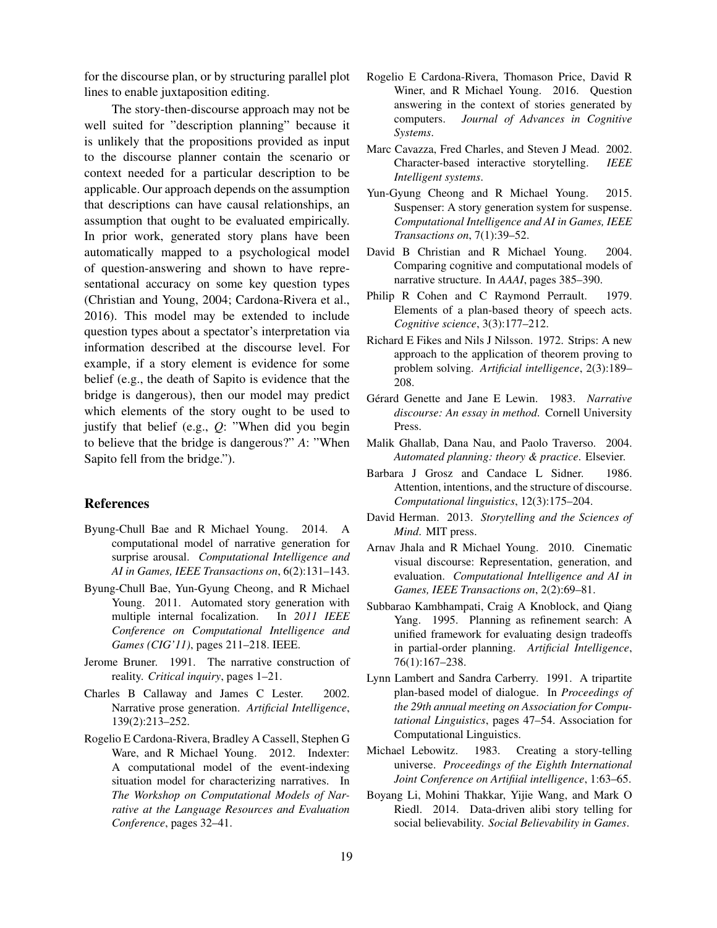for the discourse plan, or by structuring parallel plot lines to enable juxtaposition editing.

The story-then-discourse approach may not be well suited for "description planning" because it is unlikely that the propositions provided as input to the discourse planner contain the scenario or context needed for a particular description to be applicable. Our approach depends on the assumption that descriptions can have causal relationships, an assumption that ought to be evaluated empirically. In prior work, generated story plans have been automatically mapped to a psychological model of question-answering and shown to have representational accuracy on some key question types (Christian and Young, 2004; Cardona-Rivera et al., 2016). This model may be extended to include question types about a spectator's interpretation via information described at the discourse level. For example, if a story element is evidence for some belief (e.g., the death of Sapito is evidence that the bridge is dangerous), then our model may predict which elements of the story ought to be used to justify that belief (e.g., *Q*: "When did you begin to believe that the bridge is dangerous?" *A*: "When Sapito fell from the bridge.").

#### References

- Byung-Chull Bae and R Michael Young. 2014. A computational model of narrative generation for surprise arousal. *Computational Intelligence and AI in Games, IEEE Transactions on*, 6(2):131–143.
- Byung-Chull Bae, Yun-Gyung Cheong, and R Michael Young. 2011. Automated story generation with multiple internal focalization. In *2011 IEEE Conference on Computational Intelligence and Games (CIG'11)*, pages 211–218. IEEE.
- Jerome Bruner. 1991. The narrative construction of reality. *Critical inquiry*, pages 1–21.
- Charles B Callaway and James C Lester. 2002. Narrative prose generation. *Artificial Intelligence*, 139(2):213–252.
- Rogelio E Cardona-Rivera, Bradley A Cassell, Stephen G Ware, and R Michael Young. 2012. Indexter: A computational model of the event-indexing situation model for characterizing narratives. In *The Workshop on Computational Models of Narrative at the Language Resources and Evaluation Conference*, pages 32–41.
- Rogelio E Cardona-Rivera, Thomason Price, David R Winer, and R Michael Young. 2016. Question answering in the context of stories generated by computers. *Journal of Advances in Cognitive Systems*.
- Marc Cavazza, Fred Charles, and Steven J Mead. 2002. Character-based interactive storytelling. *IEEE Intelligent systems*.
- Yun-Gyung Cheong and R Michael Young. 2015. Suspenser: A story generation system for suspense. *Computational Intelligence and AI in Games, IEEE Transactions on*, 7(1):39–52.
- David B Christian and R Michael Young. 2004. Comparing cognitive and computational models of narrative structure. In *AAAI*, pages 385–390.
- Philip R Cohen and C Raymond Perrault. 1979. Elements of a plan-based theory of speech acts. *Cognitive science*, 3(3):177–212.
- Richard E Fikes and Nils J Nilsson. 1972. Strips: A new approach to the application of theorem proving to problem solving. *Artificial intelligence*, 2(3):189– 208.
- Gérard Genette and Jane E Lewin. 1983. Narrative *discourse: An essay in method*. Cornell University Press.
- Malik Ghallab, Dana Nau, and Paolo Traverso. 2004. *Automated planning: theory & practice*. Elsevier.
- Barbara J Grosz and Candace L Sidner. 1986. Attention, intentions, and the structure of discourse. *Computational linguistics*, 12(3):175–204.
- David Herman. 2013. *Storytelling and the Sciences of Mind*. MIT press.
- Arnav Jhala and R Michael Young. 2010. Cinematic visual discourse: Representation, generation, and evaluation. *Computational Intelligence and AI in Games, IEEE Transactions on*, 2(2):69–81.
- Subbarao Kambhampati, Craig A Knoblock, and Qiang Yang. 1995. Planning as refinement search: A unified framework for evaluating design tradeoffs in partial-order planning. *Artificial Intelligence*, 76(1):167–238.
- Lynn Lambert and Sandra Carberry. 1991. A tripartite plan-based model of dialogue. In *Proceedings of the 29th annual meeting on Association for Computational Linguistics*, pages 47–54. Association for Computational Linguistics.
- Michael Lebowitz. 1983. Creating a story-telling universe. *Proceedings of the Eighth International Joint Conference on Artifiial intelligence*, 1:63–65.
- Boyang Li, Mohini Thakkar, Yijie Wang, and Mark O Riedl. 2014. Data-driven alibi story telling for social believability. *Social Believability in Games*.